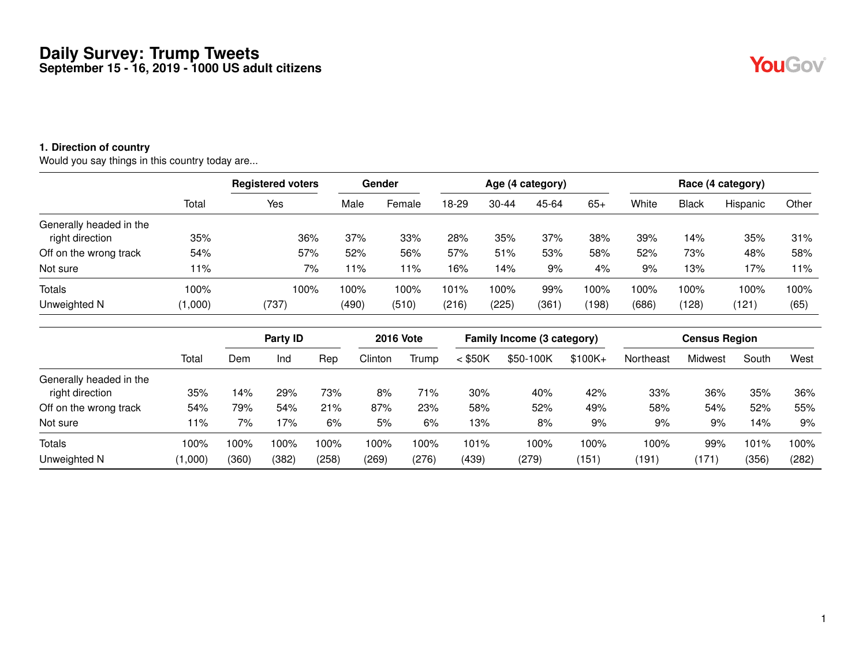#### **1. Direction of country**

Would you say things in this country today are...

|                         |         | <b>Registered voters</b> |       | Gender  |       |           | Age (4 category) |       |       |              | Race (4 category) |       |
|-------------------------|---------|--------------------------|-------|---------|-------|-----------|------------------|-------|-------|--------------|-------------------|-------|
|                         | Total   | Yes                      | Male  | Female  | 18-29 | $30 - 44$ | 45-64            | $65+$ | White | <b>Black</b> | Hispanic          | Other |
| Generally headed in the |         |                          |       |         |       |           |                  |       |       |              |                   |       |
| right direction         | 35%     | 36%                      | 37%   | 33%     | 28%   | 35%       | 37%              | 38%   | 39%   | 14%          | 35%               | 31%   |
| Off on the wrong track  | 54%     | 57%                      | 52%   | 56%     | 57%   | 51%       | 53%              | 58%   | 52%   | 73%          | 48%               | 58%   |
| Not sure                | 11%     | 7%                       | 11%   | 11%     | 16%   | 14%       | 9%               | 4%    | 9%    | 13%          | 17%               | 11%   |
| <b>Totals</b>           | 100%    | 100%                     | 100%  | $100\%$ | 101%  | 100%      | 99%              | 100%  | 100%  | 100%         | 100%              | 100%  |
| Unweighted N            | (1,000) | (737)                    | (490) | (510)   | (216) | (225)     | (361)            | (198) | (686) | (128)        | (121)             | (65)  |

|                                           |            |             | Party ID   |            | <b>2016 Vote</b> |            |            | Family Income (3 category) |            |            | <b>Census Region</b> |            |            |
|-------------------------------------------|------------|-------------|------------|------------|------------------|------------|------------|----------------------------|------------|------------|----------------------|------------|------------|
|                                           | Total      | Dem         | Ind        | Rep        | Clinton          | Trump      | $<$ \$50K  | \$50-100K                  | $$100K +$  | Northeast  | Midwest              | South      | West       |
| Generally headed in the                   |            |             |            |            |                  |            |            |                            |            |            |                      |            |            |
| right direction<br>Off on the wrong track | 35%<br>54% | 4% ا<br>79% | 29%<br>54% | 73%<br>21% | 8%<br>87%        | 71%<br>23% | 30%<br>58% | 40%<br>52%                 | 42%<br>49% | 33%<br>58% | 36%<br>54%           | 35%<br>52% | 36%<br>55% |
| Not sure                                  | 11%        | 7%          | 17%        | 6%         | 5%               | 6%         | 13%        | 8%                         | 9%         | 9%         | 9%                   | 14%        | 9%         |
| Totals                                    | 100%       | 100%        | 100%       | 100%       | 100%             | 100%       | 101%       | 100%                       | 100%       | 100%       | 99%                  | 101%       | 100%       |
| Unweighted N                              | (1,000)    | (360)       | (382)      | (258)      | (269)            | (276)      | (439)      | (279)                      | (151)      | (191)      | (171)                | (356)      | (282)      |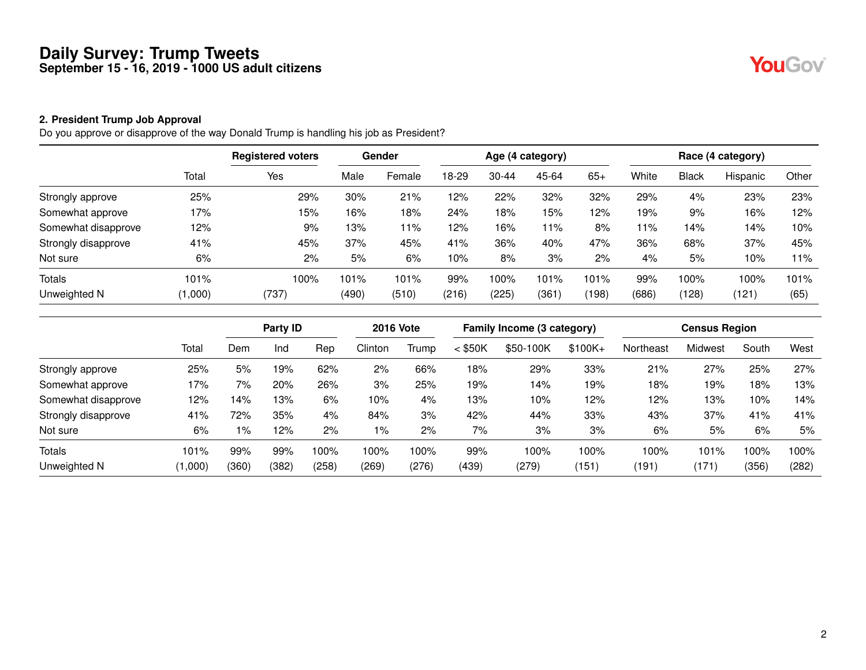# YouGov®

#### **2. President Trump Job Approval**

Do you approve or disapprove of the way Donald Trump is handling his job as President?

|                     |         | <b>Registered voters</b> |       | Gender |       |           | Age (4 category) |       |       |              | Race (4 category) |       |
|---------------------|---------|--------------------------|-------|--------|-------|-----------|------------------|-------|-------|--------------|-------------------|-------|
|                     | Total   | Yes                      | Male  | Female | 18-29 | $30 - 44$ | 45-64            | $65+$ | White | <b>Black</b> | Hispanic          | Other |
| Strongly approve    | 25%     | 29%                      | 30%   | 21%    | 12%   | 22%       | 32%              | 32%   | 29%   | 4%           | 23%               | 23%   |
| Somewhat approve    | 17%     | 15%                      | 16%   | 18%    | 24%   | 18%       | 15%              | 12%   | 19%   | 9%           | 16%               | 12%   |
| Somewhat disapprove | 12%     | 9%                       | 13%   | 11%    | 12%   | 16%       | 11%              | 8%    | 11%   | 14%          | 14%               | 10%   |
| Strongly disapprove | 41%     | 45%                      | 37%   | 45%    | 41%   | 36%       | 40%              | 47%   | 36%   | 68%          | 37%               | 45%   |
| Not sure            | 6%      | 2%                       | 5%    | 6%     | 10%   | 8%        | 3%               | 2%    | 4%    | 5%           | 10%               | 11%   |
| <b>Totals</b>       | 101%    | 100%                     | 101%  | 101%   | 99%   | 100%      | 101%             | 101%  | 99%   | $00\%$       | 100%              | 101%  |
| Unweighted N        | (1,000) | (737)                    | (490) | (510)  | (216) | (225)     | (361)            | (198) | (686) | (128)        | (121)             | (65)  |

|                     |         |       | Party ID |       | <b>2016 Vote</b> |       |           | Family Income (3 category) |           |           | <b>Census Region</b> |       |       |
|---------------------|---------|-------|----------|-------|------------------|-------|-----------|----------------------------|-----------|-----------|----------------------|-------|-------|
|                     | Total   | Dem   | Ind      | Rep   | Clinton          | Trump | $<$ \$50K | \$50-100K                  | $$100K +$ | Northeast | Midwest              | South | West  |
| Strongly approve    | 25%     | 5%    | 19%      | 62%   | 2%               | 66%   | 18%       | 29%                        | 33%       | 21%       | 27%                  | 25%   | 27%   |
| Somewhat approve    | 17%     | 7%    | 20%      | 26%   | 3%               | 25%   | 19%       | 14%                        | 19%       | 18%       | 19%                  | 18%   | 13%   |
| Somewhat disapprove | 12%     | 14%   | 13%      | 6%    | 10%              | 4%    | 13%       | 10%                        | 12%       | 12%       | 13%                  | 10%   | 14%   |
| Strongly disapprove | 41%     | 72%   | 35%      | 4%    | 84%              | 3%    | 42%       | 44%                        | 33%       | 43%       | 37%                  | 41%   | 41%   |
| Not sure            | 6%      | $1\%$ | 12%      | 2%    | 1%               | 2%    | 7%        | 3%                         | 3%        | 6%        | 5%                   | 6%    | 5%    |
| Totals              | 101%    | 99%   | 99%      | 100%  | 100%             | 100%  | 99%       | 100%                       | 100%      | 100%      | 101%                 | 100%  | 100%  |
| Unweighted N        | (1,000) | (360) | (382)    | (258) | (269)            | (276) | (439)     | (279)                      | (151)     | (191)     | (171)                | (356) | (282) |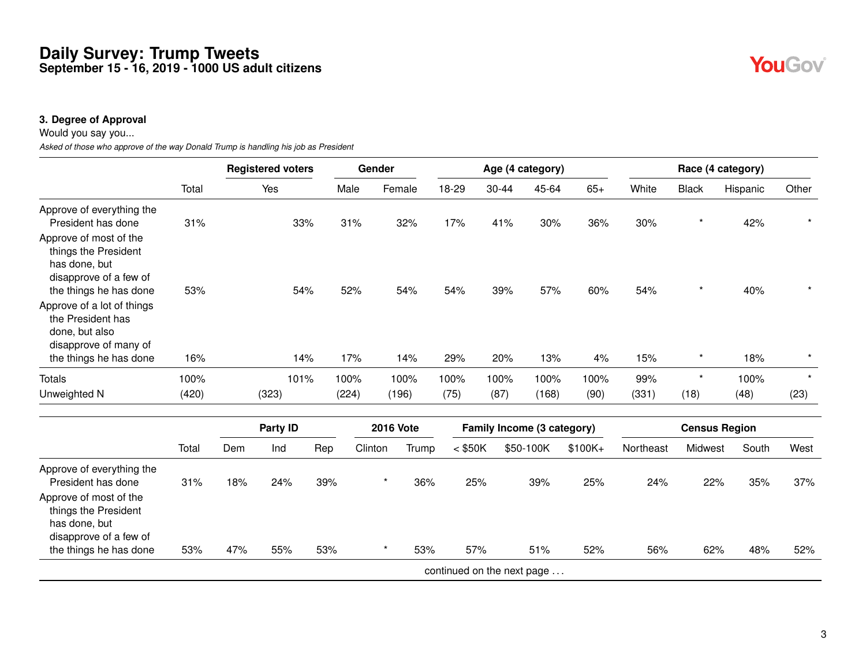#### **3. Degree of Approval**

Would you say you...

*Asked of those who approve of the way Donald Trump is handling his job as President*

|                                                                                                                      |       |     | <b>Registered voters</b> |     | Gender  |                  |       |                            |       |           | Age (4 category)           |           |           |              | Race (4 category)    |          |
|----------------------------------------------------------------------------------------------------------------------|-------|-----|--------------------------|-----|---------|------------------|-------|----------------------------|-------|-----------|----------------------------|-----------|-----------|--------------|----------------------|----------|
|                                                                                                                      | Total |     | Yes                      |     | Male    | Female           |       | 18-29                      | 30-44 |           | 45-64                      | $65+$     | White     | <b>Black</b> | Hispanic             | Other    |
| Approve of everything the<br>President has done                                                                      | 31%   |     | 33%                      |     | 31%     | 32%              |       | 17%                        | 41%   |           | 30%                        | 36%       | 30%       | $\star$      | 42%                  |          |
| Approve of most of the<br>things the President<br>has done, but<br>disapprove of a few of                            |       |     |                          |     |         |                  |       |                            |       |           |                            |           |           | $\star$      |                      |          |
| the things he has done<br>Approve of a lot of things<br>the President has<br>done, but also<br>disapprove of many of | 53%   |     | 54%                      |     | 52%     | 54%              |       | 54%                        | 39%   |           | 57%                        | 60%       | 54%       |              | 40%                  |          |
| the things he has done                                                                                               | 16%   |     | 14%                      |     | 17%     | 14%              |       | 29%                        | 20%   |           | 13%                        | 4%        | 15%       | $\star$      | 18%                  | $^\star$ |
| Totals                                                                                                               | 100%  |     | 101%                     |     | 100%    | 100%             |       | 100%                       | 100%  |           | 100%                       | 100%      | 99%       | $\star$      | 100%                 | $\star$  |
| Unweighted N                                                                                                         | (420) |     | (323)                    |     | (224)   | (196)            |       | (75)                       | (87)  |           | (168)                      | (90)      | (331)     | (18)         | (48)                 | (23)     |
|                                                                                                                      |       |     | <b>Party ID</b>          |     |         | <b>2016 Vote</b> |       |                            |       |           | Family Income (3 category) |           |           |              | <b>Census Region</b> |          |
|                                                                                                                      | Total | Dem | Ind                      | Rep | Clinton |                  | Trump | $<$ \$50K                  |       | \$50-100K |                            | $$100K +$ | Northeast | Midwest      | South                | West     |
| Approve of everything the<br>President has done                                                                      | 31%   | 18% | 24%                      | 39% |         |                  | 36%   | 25%                        |       |           | 39%                        | 25%       | 24%       | 22%          | 35%                  | 37%      |
| Approve of most of the<br>things the President<br>has done, but<br>disapprove of a few of                            |       |     |                          |     |         |                  |       |                            |       |           |                            |           |           |              |                      |          |
| the things he has done                                                                                               | 53%   | 47% | 55%                      | 53% |         | $^\star$         | 53%   | 57%                        |       |           | 51%                        | 52%       | 56%       | 62%          | 48%                  | 52%      |
|                                                                                                                      |       |     |                          |     |         |                  |       | continued on the next page |       |           |                            |           |           |              |                      |          |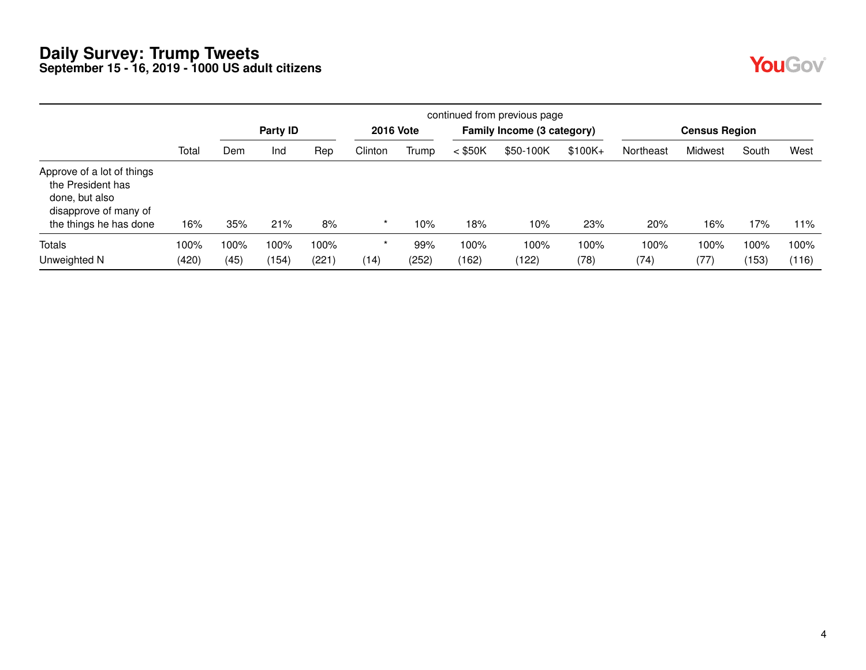|                                                                                                                      |       | continued from previous page |          |       |         |                  |           |                            |           |           |                      |       |       |  |
|----------------------------------------------------------------------------------------------------------------------|-------|------------------------------|----------|-------|---------|------------------|-----------|----------------------------|-----------|-----------|----------------------|-------|-------|--|
|                                                                                                                      |       |                              | Party ID |       |         | <b>2016 Vote</b> |           | Family Income (3 category) |           |           | <b>Census Region</b> |       |       |  |
|                                                                                                                      | Total | Dem                          | Ind      | Rep   | Clinton | Trump            | $<$ \$50K | \$50-100K                  | $$100K +$ | Northeast | Midwest              | South | West  |  |
| Approve of a lot of things<br>the President has<br>done, but also<br>disapprove of many of<br>the things he has done | 16%   | 35%                          | 21%      | 8%    | $\star$ | 10%              | 18%       | 10%                        | 23%       | 20%       | 16%                  | 17%   | 11%   |  |
| Totals                                                                                                               | 100%  | 100%                         | 100%     | 100%  |         | 99%              | 100%      | 100%                       | 100%      | 100%      | 100%                 | 100%  | 100%  |  |
| Unweighted N                                                                                                         | (420) | (45)                         | (154)    | (221) | (14)    | (252)            | (162)     | (122)                      | (78)      | (74)      | (77)                 | (153) | (116) |  |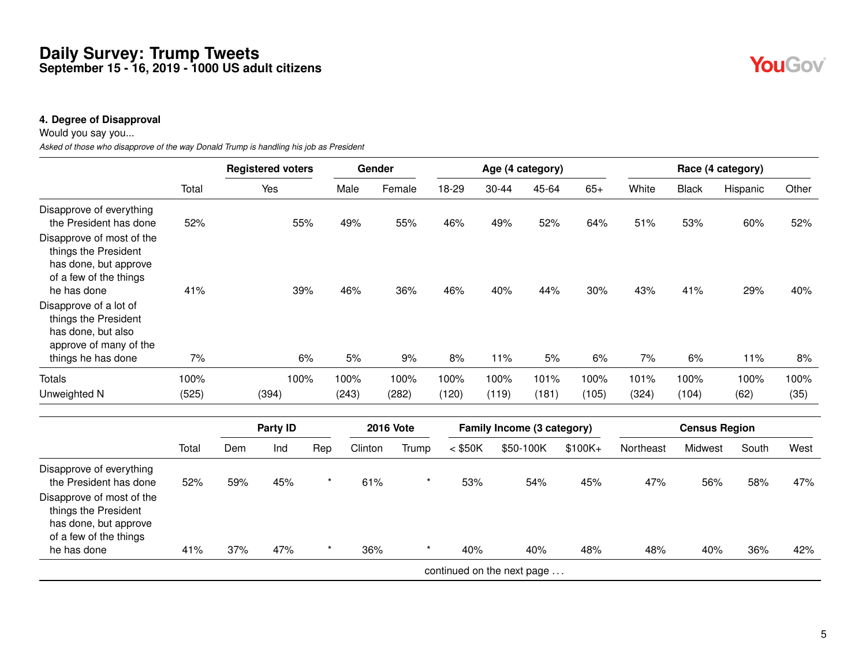#### **4. Degree of Disapproval**

Would you say you...

*Asked of those who disapprove of the way Donald Trump is handling his job as President*

|                                                                                                               |       |     | <b>Registered voters</b> |         | Gender  |                  |                            |           | Age (4 category)           |           |           |                      | Race (4 category) |       |
|---------------------------------------------------------------------------------------------------------------|-------|-----|--------------------------|---------|---------|------------------|----------------------------|-----------|----------------------------|-----------|-----------|----------------------|-------------------|-------|
|                                                                                                               | Total |     | Yes                      |         | Male    | Female           | 18-29                      | $30 - 44$ | 45-64                      | $65+$     | White     | <b>Black</b>         | Hispanic          | Other |
| Disapprove of everything<br>the President has done                                                            | 52%   |     |                          | 55%     | 49%     | 55%              | 46%                        | 49%       | 52%                        | 64%       | 51%       | 53%                  | 60%               | 52%   |
| Disapprove of most of the<br>things the President<br>has done, but approve<br>of a few of the things          |       |     |                          |         |         |                  |                            |           |                            |           |           |                      |                   |       |
| he has done<br>Disapprove of a lot of<br>things the President<br>has done, but also<br>approve of many of the | 41%   |     |                          | 39%     | 46%     | 36%              | 46%                        | 40%       | 44%                        | 30%       | 43%       | 41%                  | 29%               | 40%   |
| things he has done                                                                                            | 7%    |     |                          | 6%      | 5%      | 9%               | 8%                         | 11%       | 5%                         | 6%        | 7%        | 6%                   | 11%               | 8%    |
| <b>Totals</b>                                                                                                 | 100%  |     | 100%                     |         | 100%    | 100%             | 100%                       | 100%      | 101%                       | 100%      | 101%      | 100%                 | 100%              | 100%  |
| Unweighted N                                                                                                  | (525) |     | (394)                    |         | (243)   | (282)            | (120)                      | (119)     | (181)                      | (105)     | (324)     | (104)                | (62)              | (35)  |
|                                                                                                               |       |     | Party ID                 |         |         | <b>2016 Vote</b> |                            |           | Family Income (3 category) |           |           | <b>Census Region</b> |                   |       |
|                                                                                                               | Total | Dem | Ind                      | Rep     | Clinton | Trump            | $<$ \$50K                  |           | \$50-100K                  | $$100K +$ | Northeast | Midwest              | South             | West  |
| Disapprove of everything<br>the President has done                                                            | 52%   | 59% | 45%                      | $\star$ | 61%     | $^\star$         | 53%                        |           | 54%                        | 45%       | 47%       | 56%                  | 58%               | 47%   |
| Disapprove of most of the<br>things the President<br>has done, but approve<br>of a few of the things          |       |     |                          |         |         |                  |                            |           |                            |           |           |                      |                   |       |
| he has done                                                                                                   | 41%   | 37% | 47%                      | $\star$ | 36%     | $\star$          | 40%                        |           | 40%                        | 48%       | 48%       | 40%                  | 36%               | 42%   |
|                                                                                                               |       |     |                          |         |         |                  | continued on the next page |           |                            |           |           |                      |                   |       |

YouGov®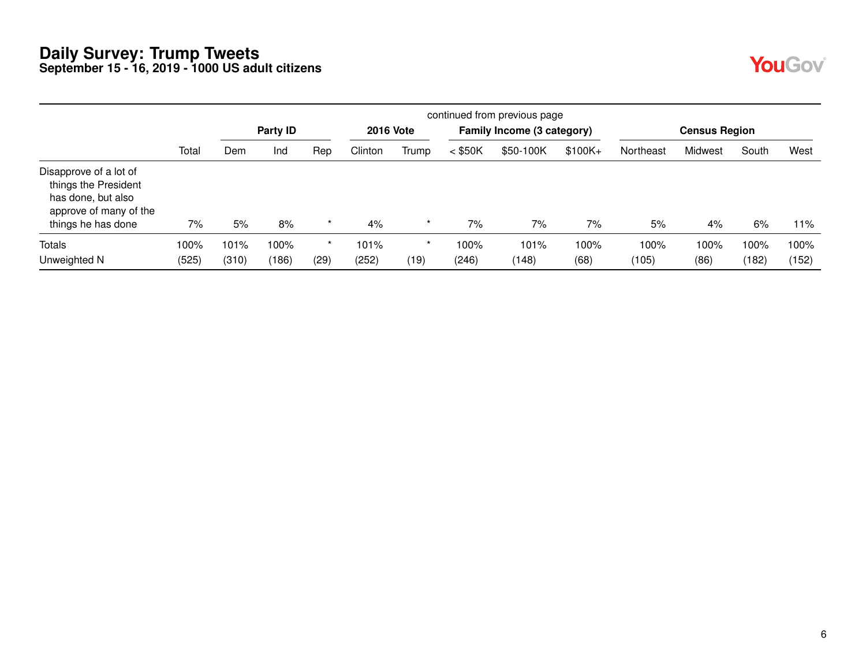| <b>Contract Contract Contract Contract Contract Contract Contract Contract Contract Contract Contract Contract C</b><br>r. |  |
|----------------------------------------------------------------------------------------------------------------------------|--|
|----------------------------------------------------------------------------------------------------------------------------|--|

|                                                                                                                      |       | continued from previous page |          |         |                  |         |           |                            |          |           |                      |       |       |  |
|----------------------------------------------------------------------------------------------------------------------|-------|------------------------------|----------|---------|------------------|---------|-----------|----------------------------|----------|-----------|----------------------|-------|-------|--|
|                                                                                                                      |       |                              | Party ID |         | <b>2016 Vote</b> |         |           | Family Income (3 category) |          |           | <b>Census Region</b> |       |       |  |
|                                                                                                                      | Total | Dem                          | Ind      | Rep     | Clinton          | Trump   | $<$ \$50K | \$50-100K                  | $$100K+$ | Northeast | Midwest              | South | West  |  |
| Disapprove of a lot of<br>things the President<br>has done, but also<br>approve of many of the<br>things he has done | 7%    | 5%                           | 8%       | $\star$ | 4%               | $\star$ | 7%        | 7%                         | 7%       | 5%        | 4%                   | 6%    | 11%   |  |
| Totals                                                                                                               | 100%  | 101%                         | 100%     | $\star$ | 101%             | *       | 100%      | 101%                       | 100%     | 100%      | 100%                 | 100%  | 100%  |  |
| Unweighted N                                                                                                         | (525) | (310)                        | (186)    | (29)    | (252)            | (19)    | (246)     | (148)                      | (68)     | (105)     | (86)                 | (182) | (152) |  |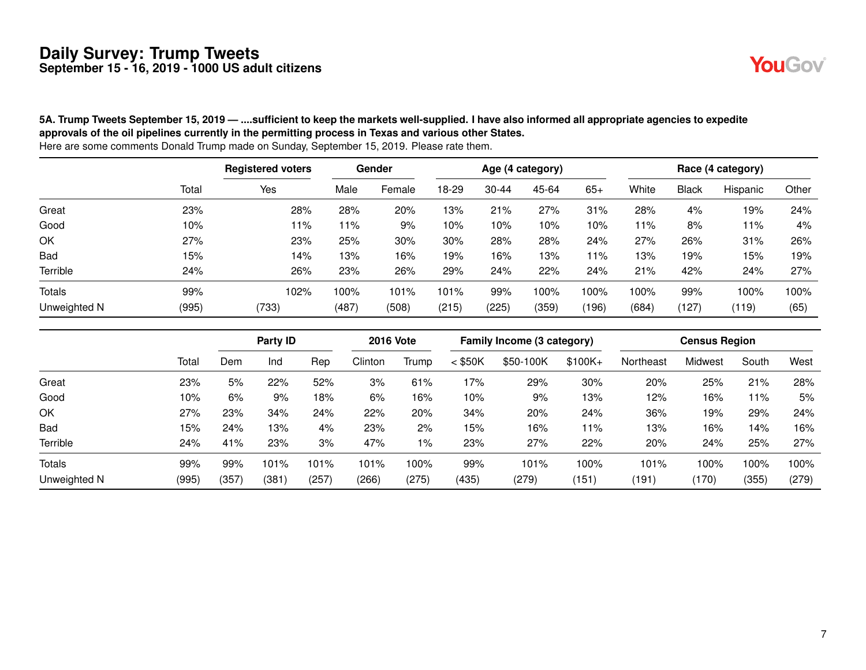

#### **5A. Trump Tweets September 15, 2019 — ....sufficient to keep the markets well-supplied. I have also informed all appropriate agencies to expedite approvals of the oil pipelines currently in the permitting process in Texas and various other States.**

|              |       | <b>Registered voters</b> |       | Gender |       |           | Age (4 category) |       |       |              | Race (4 category) |       |
|--------------|-------|--------------------------|-------|--------|-------|-----------|------------------|-------|-------|--------------|-------------------|-------|
|              | Total | Yes                      | Male  | Female | 18-29 | $30 - 44$ | 45-64            | $65+$ | White | <b>Black</b> | Hispanic          | Other |
| Great        | 23%   | 28%                      | 28%   | 20%    | 13%   | 21%       | 27%              | 31%   | 28%   | 4%           | 19%               | 24%   |
| Good         | 10%   | 11%                      | 11%   | 9%     | 10%   | 10%       | 10%              | 10%   | 11%   | 8%           | 11%               | 4%    |
| OK           | 27%   | 23%                      | 25%   | 30%    | 30%   | 28%       | 28%              | 24%   | 27%   | 26%          | 31%               | 26%   |
| <b>Bad</b>   | 15%   | 14%                      | 13%   | 16%    | 19%   | 16%       | 13%              | 11%   | 13%   | 19%          | 15%               | 19%   |
| Terrible     | 24%   | 26%                      | 23%   | 26%    | 29%   | 24%       | 22%              | 24%   | 21%   | 42%          | 24%               | 27%   |
| Totals       | 99%   | 102%                     | 100%  | 101%   | 101%  | 99%       | 100%             | 100%  | 100%  | 99%          | 100%              | 100%  |
| Unweighted N | (995) | (733)                    | (487) | (508)  | (215) | (225)     | (359)            | (196) | (684) | (127)        | (119)             | (65)  |

|              |       |       | Party ID |      | <b>2016 Vote</b> |       |           | Family Income (3 category) |          |           | <b>Census Region</b> |       |       |
|--------------|-------|-------|----------|------|------------------|-------|-----------|----------------------------|----------|-----------|----------------------|-------|-------|
|              | Total | Dem   | Ind      | Rep  | Clinton          | Trump | $<$ \$50K | \$50-100K                  | $$100K+$ | Northeast | Midwest              | South | West  |
| Great        | 23%   | 5%    | 22%      | 52%  | 3%               | 61%   | 17%       | 29%                        | 30%      | 20%       | 25%                  | 21%   | 28%   |
| Good         | 10%   | 6%    | 9%       | 18%  | 6%               | 16%   | 10%       | 9%                         | 13%      | 12%       | 16%                  | l 1%  | 5%    |
| OK           | 27%   | 23%   | 34%      | 24%  | 22%              | 20%   | 34%       | 20%                        | 24%      | 36%       | 19%                  | 29%   | 24%   |
| Bad          | 15%   | 24%   | 13%      | 4%   | 23%              | 2%    | 15%       | 16%                        | 11%      | 13%       | 16%                  | 14%   | 16%   |
| Terrible     | 24%   | 41%   | 23%      | 3%   | 47%              | $1\%$ | 23%       | 27%                        | 22%      | 20%       | 24%                  | 25%   | 27%   |
| Totals       | 99%   | 99%   | 101%     | 101% | 101%             | 100%  | 99%       | 101%                       | 100%     | 101%      | 100%                 | 100%  | 100%  |
| Unweighted N | (995) | (357) | (381)    | (257 | (266)            | (275) | (435)     | (279)                      | (151)    | (191)     | (170)                | (355) | (279) |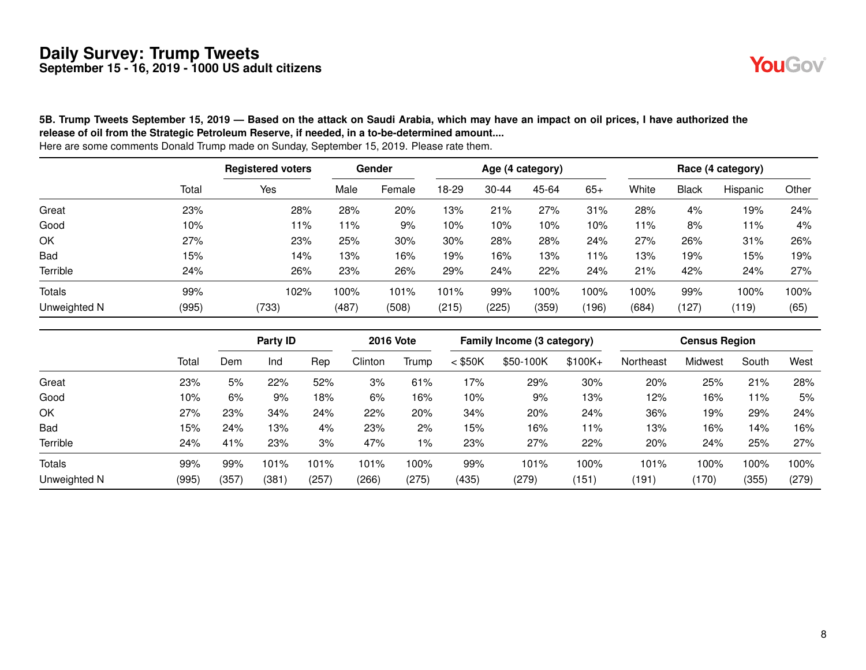

**5B. Trump Tweets September 15, 2019 — Based on the attack on Saudi Arabia, which may have an impact on oil prices, I have authorized the release of oil from the Strategic Petroleum Reserve, if needed, in a to-be-determined amount....** Here are some comments Donald Trump made on Sunday, September 15, 2019. Please rate them.

Registered voters **Gender Gender** Age (4 category) **Race (4 category)** Race (4 category) Total Yes Male Female 18-29 30-44 45-64 65+ White Black Hispanic Other Great 23% 28% 28% 20% 13% 21% 27% 31% 28% 4% 19% 24% Good 10% 11% 11% 9% 10% 10% 10% 10% 11% 8% 11% 4% OK 27% 23% 25% 30% 30% 28% 28% 24% 27% 26% 31% 26% Bad 15% 14% 13% 16% 19% 16% 13% 11% 13% 19% 15% 19% Terrible 24% 26% 23% 26% 29% 24% 22% 24% 21% 42% 24% 27% Totals 99% 102% 100% 101% 101% 99% 100% 100% 100% 99% 100% 100% Unweighted N (995) (733) (487) (508) (215) (225) (359) (196) (684) (127) (119) (65)

**Party ID 2016 Vote Family Income (3 category) Census Region** Total Dem Ind Rep Clinton Trump < \$50K \$50-100K \$100K+ Northeast Midwest South West Great 23% 5% 22% 52% 3% 61% 17% 29% 30% 20% 25% 21% 28% Good 10% 6% 9% 18% 6% 16% 10% 9% 13% 12% 16% 11% 5% OK 27% 23% 34% 24% 22% 20% 34% 20% 24% 36% 19% 29% 24% Bad 15% 24% 13% 4% 23% 2% 15% 16% 11% 13% 16% 14% 16% Terrible 24% 41% 23% 3% 47% 1% 23% 27% 22% 20% 24% 25% 27% Totals 99% 99% 101% 101% 101% 100% 99% 101% 100% 101% 100% 100% 100% Unweighted N (995) (357) (381) (257) (266) (275) (435) (279) (151) (191) (170) (355) (279)

8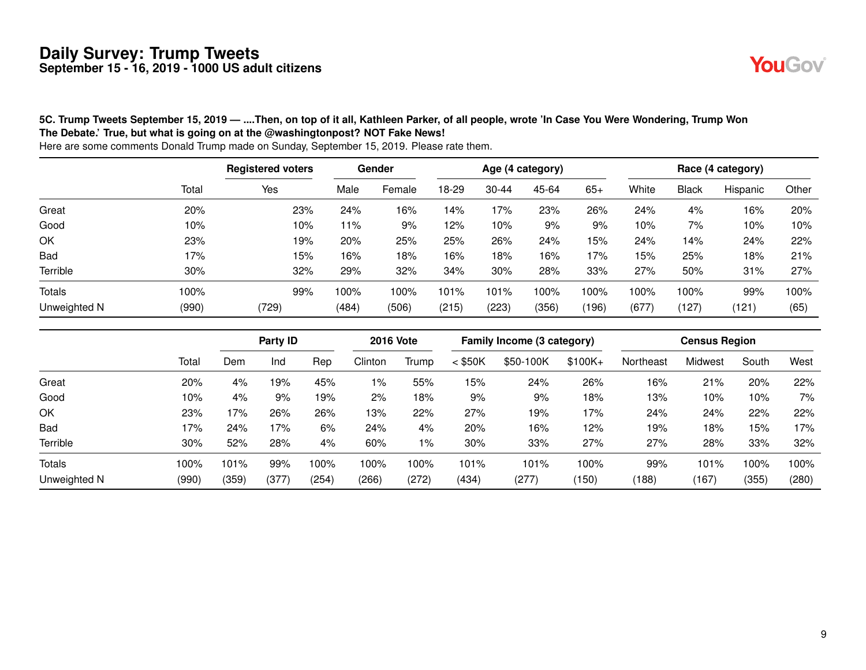

#### **5C. Trump Tweets September 15, 2019 — ....Then, on top of it all, Kathleen Parker, of all people, wrote 'In Case You Were Wondering, Trump Won The Debate.' True, but what is going on at the @washingtonpost? NOT Fake News!**

|              |       | <b>Registered voters</b> |       | Gender |       |           | Age (4 category) |       |       |              | Race (4 category) |       |
|--------------|-------|--------------------------|-------|--------|-------|-----------|------------------|-------|-------|--------------|-------------------|-------|
|              | Total | Yes                      | Male  | Female | 18-29 | $30 - 44$ | 45-64            | $65+$ | White | <b>Black</b> | Hispanic          | Other |
| Great        | 20%   | 23%                      | 24%   | 16%    | 14%   | 17%       | 23%              | 26%   | 24%   | 4%           | 16%               | 20%   |
| Good         | 10%   | 10%                      | $1\%$ | 9%     | 12%   | 10%       | 9%               | 9%    | 10%   | 7%           | 10%               | 10%   |
| OK           | 23%   | 19%                      | 20%   | 25%    | 25%   | 26%       | 24%              | 15%   | 24%   | 14%          | 24%               | 22%   |
| <b>Bad</b>   | 17%   | 15%                      | 16%   | 18%    | 16%   | 18%       | 16%              | 17%   | 15%   | 25%          | 18%               | 21%   |
| Terrible     | 30%   | 32%                      | 29%   | 32%    | 34%   | 30%       | 28%              | 33%   | 27%   | 50%          | 31%               | 27%   |
| Totals       | 100%  | 99%                      | 100%  | 100%   | 101%  | 101%      | 100%             | 100%  | 100%  | 100%         | 99%               | 100%  |
| Unweighted N | (990) | (729)                    | (484) | (506)  | (215) | (223)     | (356)            | (196) | (677) | (127)        | (121)             | (65)  |

|                 |       |       | Party ID |       | <b>2016 Vote</b> |       |           | Family Income (3 category) |          |           | <b>Census Region</b> |       |       |
|-----------------|-------|-------|----------|-------|------------------|-------|-----------|----------------------------|----------|-----------|----------------------|-------|-------|
|                 | Total | Dem   | Ind      | Rep   | Clinton          | Trump | $<$ \$50K | \$50-100K                  | $$100K+$ | Northeast | Midwest              | South | West  |
| Great           | 20%   | 4%    | l9%      | 45%   | 1%               | 55%   | 15%       | 24%                        | 26%      | 16%       | 21%                  | 20%   | 22%   |
| Good            | 10%   | 4%    | 9%       | 19%   | 2%               | 18%   | 9%        | 9%                         | 18%      | 13%       | 10%                  | 10%   | 7%    |
| OK              | 23%   | 17%   | 26%      | 26%   | 13%              | 22%   | 27%       | 19%                        | 17%      | 24%       | 24%                  | 22%   | 22%   |
| <b>Bad</b>      | 17%   | 24%   | 17%      | 6%    | 24%              | 4%    | 20%       | 16%                        | 12%      | 19%       | 18%                  | 15%   | 17%   |
| <b>Terrible</b> | 30%   | 52%   | 28%      | 4%    | 60%              | $1\%$ | 30%       | 33%                        | 27%      | 27%       | 28%                  | 33%   | 32%   |
| <b>Totals</b>   | 100%  | 101%  | 99%      | 100%  | 100%             | 100%  | 101%      | 101%                       | 100%     | 99%       | 101%                 | 100%  | 100%  |
| Unweighted N    | (990) | (359) | (377)    | (254) | (266)            | (272) | (434)     | (277)                      | (150)    | (188)     | (167)                | (355) | (280) |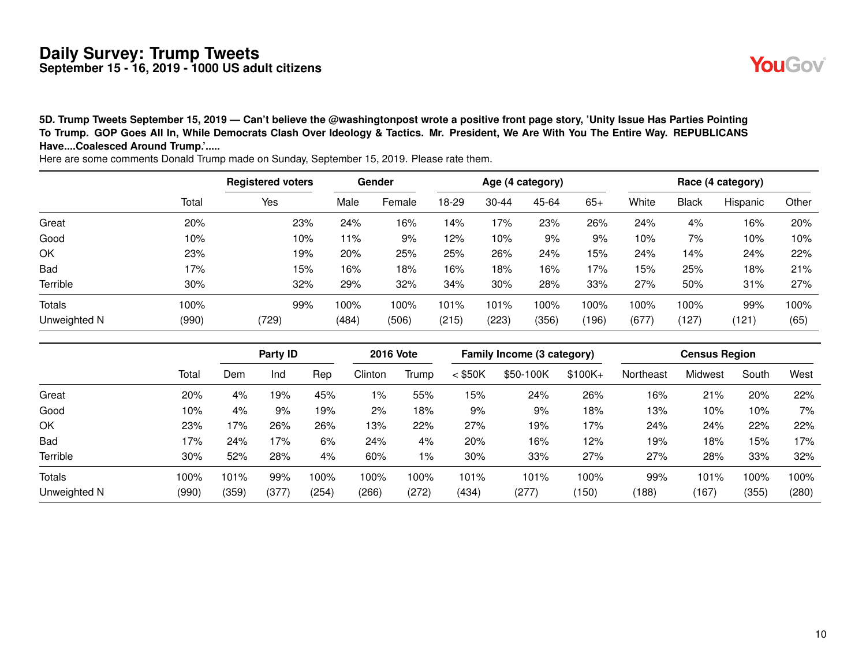**5D. Trump Tweets September 15, 2019 — Can't believe the @washingtonpost wrote a positive front page story, 'Unity Issue Has Parties Pointing To Trump. GOP Goes All In, While Democrats Clash Over Ideology & Tactics. Mr. President, We Are With You The Entire Way. REPUBLICANS Have....Coalesced Around Trump.'.....** Here are some comments Donald Trump made on Sunday, September 15, 2019. Please rate them.

Registered voters **Gender Gender** Age (4 category) **Race (4 category)** Race (4 category) Total Yes Male Female 18-29 30-44 45-64 65+ White Black Hispanic Other Great 20% 23% 24% 16% 14% 17% 23% 26% 24% 4% 16% 20% Good 10% 10% 11% 9% 12% 10% 9% 9% 10% 7% 10% 10% OK 23% 19% 20% 25% 25% 26% 24% 15% 24% 14% 24% 22% Bad 17% 15% 16% 18% 16% 18% 16% 17% 15% 25% 18% 21% Terrible 30% 32% 29% 32% 34% 30% 28% 33% 27% 50% 31% 27% Totals 100% 99% 100% 100% 101% 101% 100% 100% 100% 100% 99% 100% Unweighted N (990) (729) (484) (506) (215) (223) (356) (196) (677) (127) (121) (65)

|               |       | ັ     |       |        |       | $\ddot{\phantom{a}}$ | $\tilde{\phantom{a}}$<br>. |       |       |                  |          |       |
|---------------|-------|-------|-------|--------|-------|----------------------|----------------------------|-------|-------|------------------|----------|-------|
|               | Total | Yes   | Male  | Female | 18-29 | $30 - 44$            | 45-64                      | $65+$ | White | <b>Black</b>     | Hispanic | Other |
| Great         | 20%   | 23%   | 24%   | 16%    | 14%   | 17%                  | 23%                        | 26%   | 24%   | 4%               | 16%      | 20%   |
| Good          | 10%   | 10%   | 11%   | 9%     | 12%   | 10%                  | 9%                         | 9%    | 10%   | 7%               | 10%      | 10%   |
| ОK            | 23%   | 19%   | 20%   | 25%    | 25%   | 26%                  | 24%                        | 15%   | 24%   | 14%              | 24%      | 22%   |
| Bad           | 17%   | 15%   | 16%   | 18%    | 16%   | 18%                  | 16%                        | 17%   | 15%   | 25%              | 18%      | 21%   |
| Terrible      | 30%   | 32%   | 29%   | 32%    | 34%   | 30%                  | 28%                        | 33%   | 27%   | 50%              | 31%      | 27%   |
| <b>Totals</b> | 100%  | 99%   | 100%  | 100%   | 101%  | 101%                 | 100%                       | 100%  | 100%  | 100%             | 99%      | 100%  |
| Unweighted N  | (990) | (729) | (484) | (506)  | (215) | (223)                | (356)                      | (196) | (677) | $^{\prime}$ 127) | (121)    | (65)  |

|              |       |       | Party ID |       | <b>2016 Vote</b> |       |           | Family Income (3 category) |           |           | <b>Census Region</b> |       |       |
|--------------|-------|-------|----------|-------|------------------|-------|-----------|----------------------------|-----------|-----------|----------------------|-------|-------|
|              | Total | Dem   | Ind      | Rep   | Clinton          | Trump | $<$ \$50K | \$50-100K                  | $$100K +$ | Northeast | Midwest              | South | West  |
| Great        | 20%   | 4%    | 19%      | 45%   | 1%               | 55%   | 15%       | 24%                        | 26%       | 16%       | 21%                  | 20%   | 22%   |
| Good         | 10%   | 4%    | 9%       | 19%   | 2%               | 18%   | 9%        | 9%                         | 18%       | 13%       | 10%                  | 10%   | 7%    |
| OK           | 23%   | '7%   | 26%      | 26%   | 13%              | 22%   | 27%       | 19%                        | 17%       | 24%       | 24%                  | 22%   | 22%   |
| <b>Bad</b>   | 17%   | 24%   | 17%      | 6%    | 24%              | 4%    | 20%       | 16%                        | 12%       | 19%       | 18%                  | 15%   | 17%   |
| Terrible     | 30%   | 52%   | 28%      | 4%    | 60%              | 1%    | 30%       | 33%                        | 27%       | 27%       | 28%                  | 33%   | 32%   |
| Totals       | 100%  | 101%  | 99%      | 100%  | 100%             | 100%  | 101%      | 101%                       | 100%      | 99%       | 101%                 | 100%  | 100%  |
| Unweighted N | (990) | (359) | (377     | (254) | (266)            | (272) | (434)     | (277)                      | (150)     | (188)     | (167)                | (355) | (280) |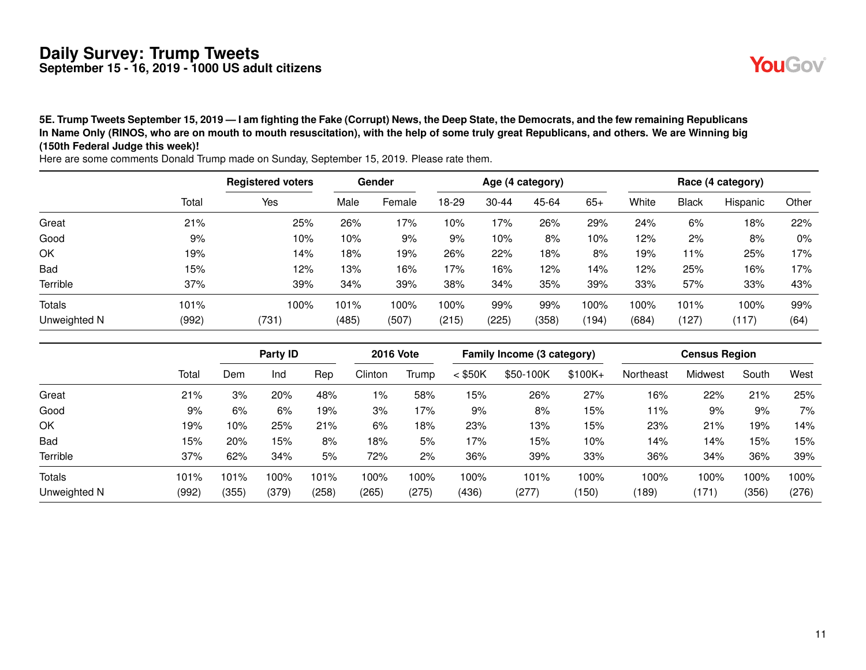**5E. Trump Tweets September 15, 2019 — I am fighting the Fake (Corrupt) News, the Deep State, the Democrats, and the few remaining Republicans In Name Only (RINOS, who are on mouth to mouth resuscitation), with the help of some truly great Republicans, and others. We are Winning big**

|               |       | <b>Registered voters</b> |       | Gender |       |           | Age (4 category) |         |       |              | Race (4 category) |       |
|---------------|-------|--------------------------|-------|--------|-------|-----------|------------------|---------|-------|--------------|-------------------|-------|
|               | Total | Yes                      | Male  | Female | 18-29 | $30 - 44$ | 45-64            | $65+$   | White | <b>Black</b> | Hispanic          | Other |
| Great         | 21%   | 25%                      | 26%   | 17%    | 10%   | 17%       | 26%              | 29%     | 24%   | 6%           | 18%               | 22%   |
| Good          | 9%    | 10%                      | 10%   | 9%     | 9%    | 10%       | 8%               | 10%     | 12%   | 2%           | 8%                | 0%    |
| OK            | 19%   | 14%                      | 18%   | 19%    | 26%   | 22%       | 18%              | 8%      | 19%   | 1%           | 25%               | 17%   |
| Bad           | 15%   | 12%                      | 13%   | 16%    | 17%   | 16%       | 12%              | 14%     | 12%   | 25%          | 16%               | 17%   |
| Terrible      | 37%   | 39%                      | 34%   | 39%    | 38%   | 34%       | 35%              | 39%     | 33%   | 57%          | 33%               | 43%   |
| <b>Totals</b> | 101%  | 100%                     | 101%  | 100%   | 100%  | 99%       | 99%              | $100\%$ | 100%  | 101%         | 100%              | 99%   |
| Unweighted N  | (992) | (731)                    | (485) | (507)  | (215) | (225)     | (358)            | (194)   | (684) | (127)        | (117)             | (64)  |

| 5E. Trump Tweets September 15, 2019 — I am fighting the Fake (Corrupt) News, the Deep State, the Democrats, and the few remaining Republicans |  |
|-----------------------------------------------------------------------------------------------------------------------------------------------|--|
| In Name Only (RINOS, who are on mouth to mouth resuscitation), with the help of some truly great Republicans, and others. We are Winning big  |  |
| (150th Federal Judge this week)!                                                                                                              |  |

|              |       |       | Party ID |       | <b>2016 Vote</b> |       |           | Family Income (3 category) |          |           | <b>Census Region</b> |       |       |
|--------------|-------|-------|----------|-------|------------------|-------|-----------|----------------------------|----------|-----------|----------------------|-------|-------|
|              | Total | Dem   | Ind      | Rep   | Clinton          | Trump | $<$ \$50K | \$50-100K                  | $$100K+$ | Northeast | Midwest              | South | West  |
| Great        | 21%   | 3%    | 20%      | 48%   | 1%               | 58%   | 15%       | 26%                        | 27%      | 16%       | 22%                  | 21%   | 25%   |
| Good         | 9%    | 6%    | 6%       | 19%   | 3%               | 17%   | 9%        | 8%                         | 15%      | 11%       | 9%                   | 9%    | 7%    |
| OK           | 19%   | 10%   | 25%      | 21%   | 6%               | 18%   | 23%       | 13%                        | 15%      | 23%       | 21%                  | 19%   | 14%   |
| <b>Bad</b>   | 15%   | 20%   | 15%      | 8%    | 18%              | 5%    | 17%       | 15%                        | 10%      | 14%       | 14%                  | 15%   | 15%   |
| Terrible     | 37%   | 62%   | 34%      | 5%    | 72%              | 2%    | 36%       | 39%                        | 33%      | 36%       | 34%                  | 36%   | 39%   |
| Totals       | 101%  | 101%  | 100%     | 101%  | 100%             | 100%  | 100%      | 101%                       | 100%     | 100%      | 100%                 | 100%  | 100%  |
| Unweighted N | (992) | (355) | (379)    | (258) | (265)            | (275) | (436)     | (277)                      | (150)    | (189)     | (171)                | (356) | (276) |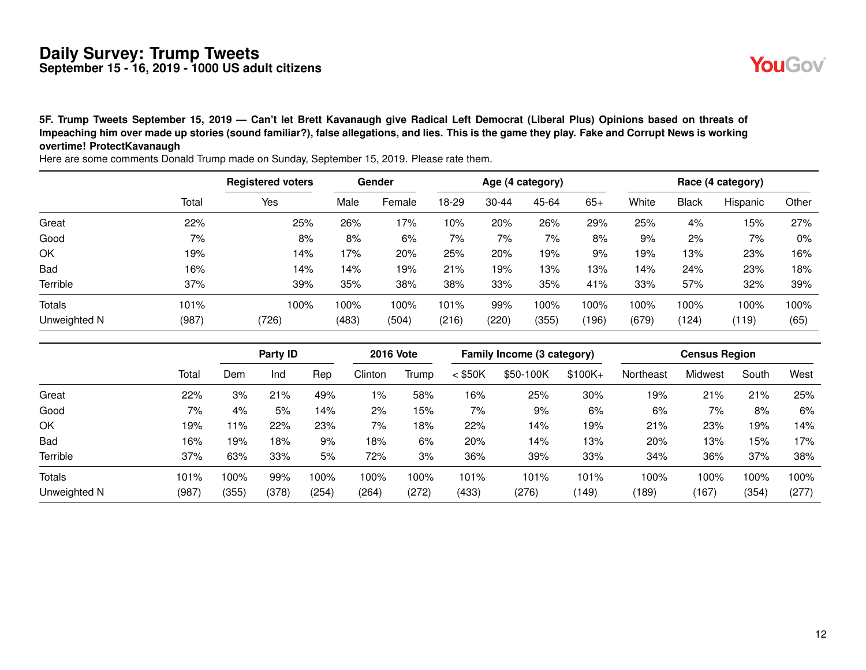**5F. Trump Tweets September 15, 2019 — Can't let Brett Kavanaugh give Radical Left Democrat (Liberal Plus) Opinions based on threats of Impeaching him over made up stories (sound familiar?), false allegations, and lies. This is the game they play. Fake and Corrupt News is working overtime! ProtectKavanaugh**

Registered voters Gender **Age (4 category)** Race (4 category) Total Yes Male Female 18-29 30-44 45-64 65+ White Black Hispanic Other Great 22% 25% 26% 17% 10% 20% 26% 29% 25% 4% 15% 27% Good 7% 8% 8% 6% 7% 7% 7% 8% 9% 2% 7% 0% OK 19% 14% 17% 20% 25% 20% 19% 9% 19% 13% 23% 16% Bad 16% 14% 14% 19% 21% 19% 13% 13% 14% 24% 23% 18% Terrible 37% 39% 35% 38% 38% 33% 35% 41% 33% 57% 32% 39% Totals 101% 100% 100% 100% 101% 99% 100% 100% 100% 100% 100% 100% Unweighted N (987) (726) (483) (504) (216) (220) (355) (196) (679) (124) (119) (65)

| ОK            | 19%   |       |          | 14%   | 17%     | 20%              | 25%       | 20%   | 19%                        | 9%        | 19%       | 13%                  | 23%   | 16%   |
|---------------|-------|-------|----------|-------|---------|------------------|-----------|-------|----------------------------|-----------|-----------|----------------------|-------|-------|
| Bad           | 16%   |       |          | 14%   | 14%     | 19%              | 21%       | 19%   | 13%                        | 13%       | 14%       | 24%                  | 23%   | 18%   |
| Terrible      | 37%   |       |          | 39%   | 35%     | 38%              | 38%       | 33%   | 35%                        | 41%       | 33%       | 57%                  | 32%   | 39%   |
| <b>Totals</b> | 101%  |       |          | 100%  | 100%    | 100%             | 101%      | 99%   | 100%                       | 100%      | 100%      | 100%                 | 100%  | 100%  |
| Unweighted N  | (987) |       | (726)    |       | (483)   | (504)            | (216)     | (220) | (355)                      | (196)     | (679)     | (124)                | (119) | (65)  |
|               |       |       | Party ID |       |         | <b>2016 Vote</b> |           |       | Family Income (3 category) |           |           | <b>Census Region</b> |       |       |
|               | Total | Dem   | Ind      | Rep   | Clinton | Trump            | $<$ \$50K |       | \$50-100K                  | $$100K +$ | Northeast | <b>Midwest</b>       | South | West  |
| Great         | 22%   | 3%    | 21%      | 49%   | 1%      | 58%              | 16%       |       | 25%                        | 30%       | 19%       | 21%                  | 21%   | 25%   |
| Good          | 7%    | 4%    | 5%       | 14%   | 2%      | 15%              | 7%        |       | 9%                         | 6%        | 6%        | 7%                   | 8%    | 6%    |
| ОΚ            | 19%   | 11%   | 22%      | 23%   | 7%      | 18%              | 22%       |       | 14%                        | 19%       | 21%       | 23%                  | 19%   | 14%   |
| Bad           | 16%   | 19%   | 18%      | 9%    | 18%     | 6%               | 20%       |       | 14%                        | 13%       | 20%       | 13%                  | 15%   | 17%   |
| Terrible      | 37%   | 63%   | 33%      | 5%    | 72%     | 3%               | 36%       |       | 39%                        | 33%       | 34%       | 36%                  | 37%   | 38%   |
| <b>Totals</b> | 101%  | 100%  | 99%      | 100%  | 100%    | 100%             | 101%      |       | 101%                       | 101%      | 100%      | 100%                 | 100%  | 100%  |
| Unweighted N  | (987) | (355) | (378)    | (254) | (264)   | (272)            | (433)     |       | (276)                      | (149)     | (189)     | (167)                | (354) | (277) |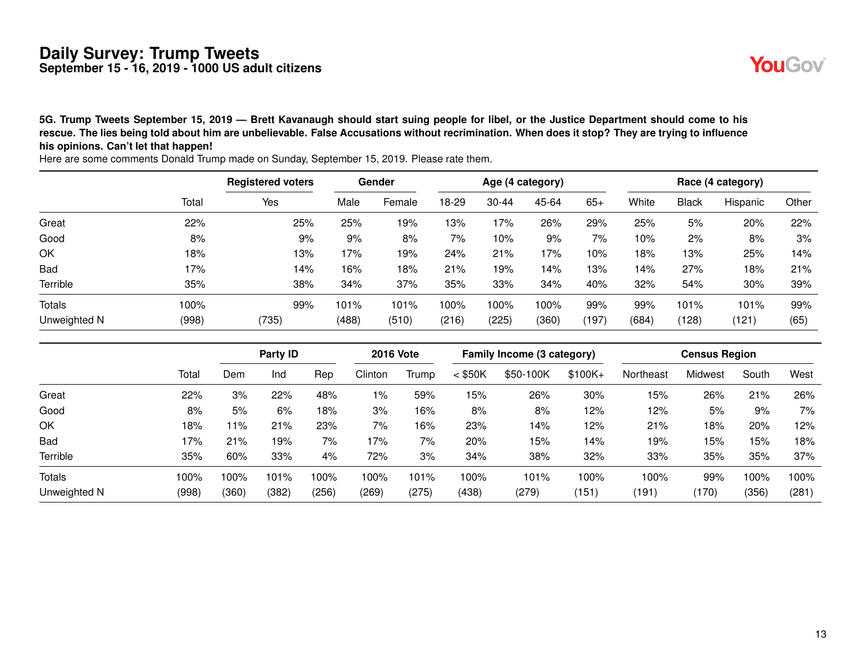**5G. Trump Tweets September 15, 2019 — Brett Kavanaugh should start suing people for libel, or the Justice Department should come to his rescue. The lies being told about him are unbelievable. False Accusations without recrimination. When does it stop? They are trying to influence his opinions. Can't let that happen!**

Registered voters **Gender** Gender Age (4 category) **Race (4 category)** Race (4 category) Total Yes Male Female 18-29 30-44 45-64 65+ White Black Hispanic Other Great 22% 25% 25% 19% 13% 17% 26% 29% 25% 5% 20% 22% Good 8% 9% 9% 8% 7% 10% 9% 7% 10% 2% 8% 3% OK 18% 13% 17% 19% 24% 21% 17% 10% 18% 13% 25% 14% Bad 17% 14% 16% 18% 21% 19% 14% 13% 14% 27% 18% 21% Terrible 35% 38% 34% 37% 35% 33% 34% 40% 32% 54% 30% 39% Totals 100% 99% 101% 101% 100% 100% 100% 99% 99% 101% 101% 99% Unweighted N (998) (735) (488) (510) (216) (225) (360) (197) (684) (128) (121) (65)

|               |       |       | Party ID |       | <b>2016 Vote</b> |       |           | Family Income (3 category) |          |           | <b>Census Region</b> |       |       |
|---------------|-------|-------|----------|-------|------------------|-------|-----------|----------------------------|----------|-----------|----------------------|-------|-------|
|               | Total | Dem   | Ind      | Rep   | Clinton          | Trump | $<$ \$50K | \$50-100K                  | $$100K+$ | Northeast | Midwest              | South | West  |
| Great         | 22%   | 3%    | 22%      | 48%   | 1%               | 59%   | 15%       | 26%                        | 30%      | 15%       | 26%                  | 21%   | 26%   |
| Good          | 8%    | 5%    | 6%       | 18%   | 3%               | 16%   | 8%        | 8%                         | 12%      | 12%       | 5%                   | 9%    | 7%    |
| OK            | 18%   | 11%   | 21%      | 23%   | 7%               | 16%   | 23%       | 14%                        | 12%      | 21%       | 18%                  | 20%   | 12%   |
| Bad           | 17%   | 21%   | 19%      | 7%    | 17%              | 7%    | 20%       | 15%                        | 14%      | 19%       | 15%                  | 15%   | 18%   |
| Terrible      | 35%   | 60%   | 33%      | 4%    | 72%              | 3%    | 34%       | 38%                        | 32%      | 33%       | 35%                  | 35%   | 37%   |
| <b>Totals</b> | 100%  | 100%  | 101%     | 100%  | 100%             | 101%  | 100%      | 101%                       | 100%     | 100%      | 99%                  | 100%  | 100%  |
| Unweighted N  | (998) | (360) | (382)    | (256) | (269)            | (275) | (438)     | (279)                      | (151)    | (191)     | (170)                | (356) | (281) |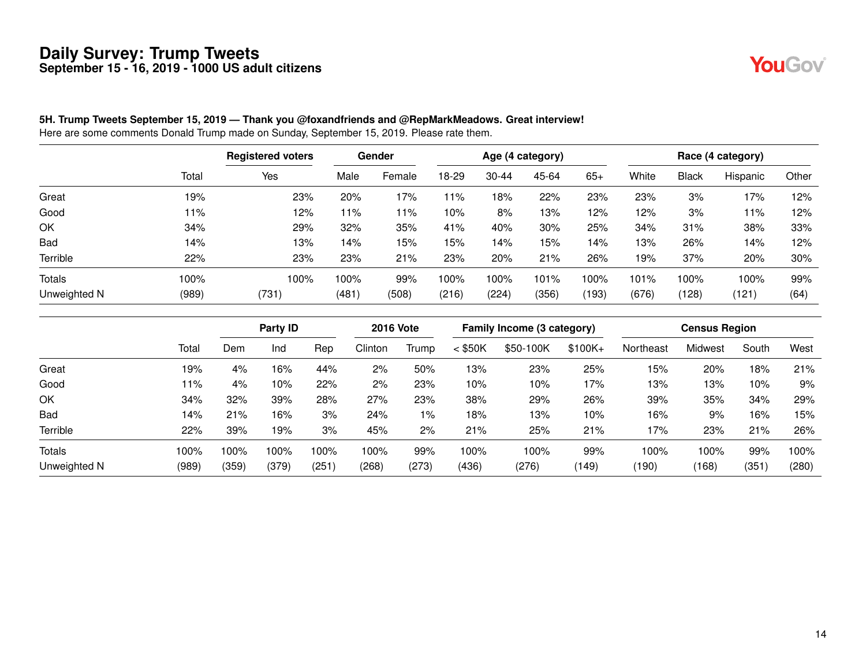

#### **5H. Trump Tweets September 15, 2019 — Thank you @foxandfriends and @RepMarkMeadows. Great interview!**

|               |       | <b>Registered voters</b> |       | Gender |           |           | Age (4 category) |       |       |       | Race (4 category) |       |
|---------------|-------|--------------------------|-------|--------|-----------|-----------|------------------|-------|-------|-------|-------------------|-------|
|               | Total | Yes                      | Male  | Female | $18 - 29$ | $30 - 44$ | 45-64            | $65+$ | White | Black | Hispanic          | Other |
| Great         | 19%   | 23%                      | 20%   | 17%    | 11%       | 18%       | 22%              | 23%   | 23%   | 3%    | 17%               | 12%   |
| Good          | 11%   | 12%                      | 11%   | 11%    | 10%       | 8%        | 13%              | 12%   | 12%   | 3%    | 11%               | 12%   |
| OK            | 34%   | 29%                      | 32%   | 35%    | 41%       | 40%       | 30%              | 25%   | 34%   | 31%   | 38%               | 33%   |
| Bad           | 14%   | 13%                      | 14%   | 15%    | 15%       | 14%       | 15%              | 14%   | 13%   | 26%   | 14%               | 12%   |
| Terrible      | 22%   | 23%                      | 23%   | 21%    | 23%       | 20%       | 21%              | 26%   | 19%   | 37%   | 20%               | 30%   |
| <b>Totals</b> | 100%  | 100%                     | 100%  | 99%    | 100%      | 100%      | 101%             | 100%  | 101%  | 100%  | 100%              | 99%   |
| Unweighted N  | (989) | (731)                    | (481) | (508)  | (216)     | (224)     | (356)            | (193) | (676) | (128) | (121)             | (64)  |

|                 |         |       | Party ID |      | <b>2016 Vote</b> |       |           | Family Income (3 category) |           |           | <b>Census Region</b> |       |       |
|-----------------|---------|-------|----------|------|------------------|-------|-----------|----------------------------|-----------|-----------|----------------------|-------|-------|
|                 | Total   | Dem   | Ind      | Rep  | Clinton          | Trump | $<$ \$50K | \$50-100K                  | $$100K +$ | Northeast | Midwest              | South | West  |
| Great           | 19%     | 4%    | 16%      | 44%  | 2%               | 50%   | 13%       | 23%                        | 25%       | 15%       | 20%                  | 18%   | 21%   |
| Good            | 11%     | 4%    | 10%      | 22%  | 2%               | 23%   | 10%       | 10%                        | 17%       | 13%       | 13%                  | 10%   | 9%    |
| OK              | 34%     | 32%   | 39%      | 28%  | 27%              | 23%   | 38%       | 29%                        | 26%       | 39%       | 35%                  | 34%   | 29%   |
| Bad             | 14%     | 21%   | 16%      | 3%   | 24%              | 1%    | 18%       | 13%                        | 10%       | 16%       | 9%                   | 16%   | 15%   |
| <b>Terrible</b> | 22%     | 39%   | 19%      | 3%   | 45%              | 2%    | 21%       | 25%                        | 21%       | 17%       | 23%                  | 21%   | 26%   |
| <b>Totals</b>   | $100\%$ | 100%  | 100%     | 100% | 100%             | 99%   | 100%      | 100%                       | 99%       | 100%      | 100%                 | 99%   | 100%  |
| Unweighted N    | (989)   | (359) | (379)    | (251 | (268)            | (273) | (436)     | (276)                      | (149)     | (190)     | (168)                | (351) | (280) |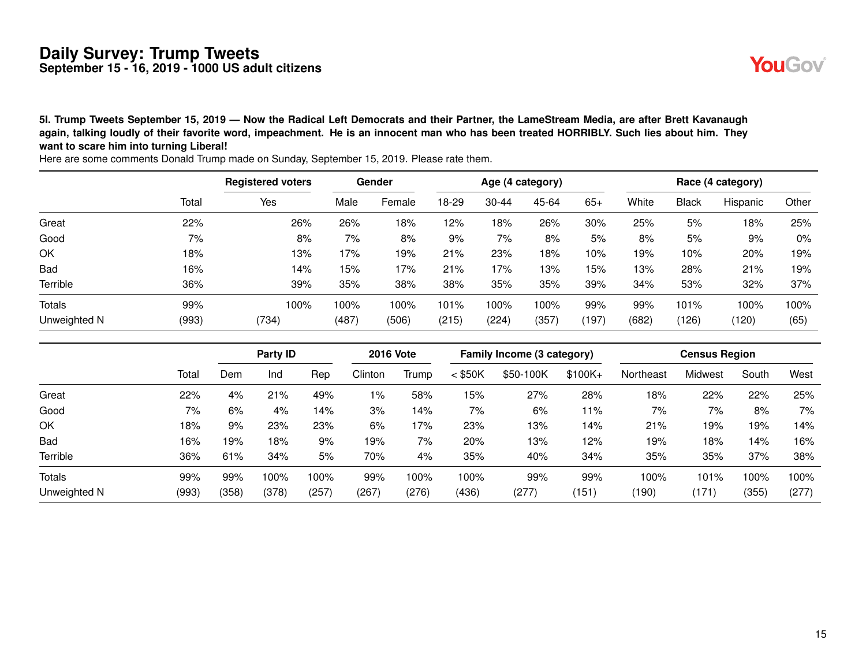**5I. Trump Tweets September 15, 2019 — Now the Radical Left Democrats and their Partner, the LameStream Media, are after Brett Kavanaugh again, talking loudly of their favorite word, impeachment. He is an innocent man who has been treated HORRIBLY. Such lies about him. They want to scare him into turning Liberal!**

|               |       | <b>Registered voters</b> |       | Gender |       |           | Age (4 category) |       |       |              | Race (4 category) |       |
|---------------|-------|--------------------------|-------|--------|-------|-----------|------------------|-------|-------|--------------|-------------------|-------|
|               | Total | Yes                      | Male  | Female | 18-29 | $30 - 44$ | 45-64            | $65+$ | White | <b>Black</b> | Hispanic          | Other |
| Great         | 22%   | 26%                      | 26%   | 18%    | 12%   | 18%       | 26%              | 30%   | 25%   | 5%           | 18%               | 25%   |
| Good          | 7%    | 8%                       | 7%    | 8%     | 9%    | 7%        | 8%               | 5%    | 8%    | 5%           | 9%                | 0%    |
| OK            | 18%   | 13%                      | 17%   | 19%    | 21%   | 23%       | 18%              | 10%   | 19%   | 10%          | 20%               | 19%   |
| Bad           | 16%   | 14%                      | 15%   | 17%    | 21%   | 17%       | 13%              | 15%   | 13%   | 28%          | 21%               | 19%   |
| Terrible      | 36%   | 39%                      | 35%   | 38%    | 38%   | 35%       | 35%              | 39%   | 34%   | 53%          | 32%               | 37%   |
| <b>Totals</b> | 99%   | 100%                     | 100%  | 100%   | 101%  | 100%      | 100%             | 99%   | 99%   | 101%         | 100%              | 100%  |
| Unweighted N  | (993) | (734)                    | (487) | (506)  | (215) | (224)     | (357)            | (197) | (682) | (126)        | (120)             | (65)  |

|              |       |       | Party ID |       | <b>2016 Vote</b> |       | Family Income (3 category) |           |          | <b>Census Region</b> |         |       |       |
|--------------|-------|-------|----------|-------|------------------|-------|----------------------------|-----------|----------|----------------------|---------|-------|-------|
|              | Total | Dem   | Ind      | Rep   | Clinton          | Trump | $<$ \$50K                  | \$50-100K | $$100K+$ | Northeast            | Midwest | South | West  |
| Great        | 22%   | 4%    | 21%      | 49%   | $1\%$            | 58%   | 15%                        | 27%       | 28%      | 18%                  | 22%     | 22%   | 25%   |
| Good         | 7%    | 6%    | 4%       | 4% ا  | 3%               | 14%   | 7%                         | 6%        | 11%      | 7%                   | 7%      | 8%    | 7%    |
| OK           | 18%   | 9%    | 23%      | 23%   | 6%               | 17%   | 23%                        | 13%       | 14%      | 21%                  | 19%     | 19%   | 14%   |
| <b>Bad</b>   | 16%   | 19%   | 18%      | 9%    | 19%              | 7%    | 20%                        | 13%       | 12%      | 19%                  | 18%     | 14%   | 16%   |
| Terrible     | 36%   | 61%   | 34%      | 5%    | 70%              | 4%    | 35%                        | 40%       | 34%      | 35%                  | 35%     | 37%   | 38%   |
| Totals       | 99%   | 99%   | 100%     | 100%  | 99%              | 100%  | 100%                       | 99%       | 99%      | 100%                 | 101%    | 100%  | 100%  |
| Unweighted N | (993) | (358) | (378)    | (257) | (267)            | (276) | (436)                      | (277)     | (151)    | (190)                | (171)   | (355) | (277) |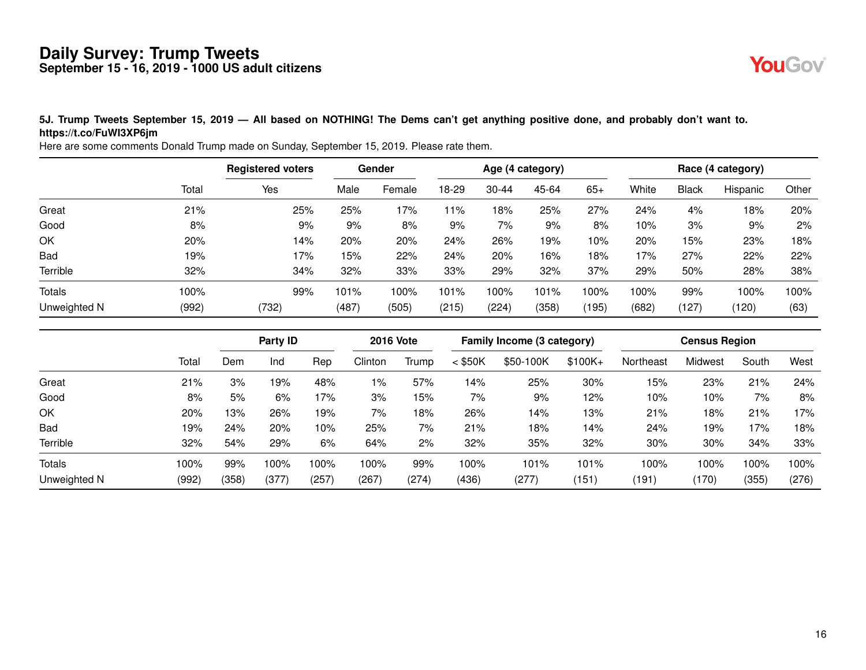

#### **5J. Trump Tweets September 15, 2019 — All based on NOTHING! The Dems can't get anything positive done, and probably don't want to. https://t.co/FuWI3XP6jm**

|               |       | <b>Registered voters</b> | Gender |        | Age (4 category) |           |       |       | Race (4 category) |              |          |       |  |
|---------------|-------|--------------------------|--------|--------|------------------|-----------|-------|-------|-------------------|--------------|----------|-------|--|
|               | Total | Yes                      | Male   | Female | 18-29            | $30 - 44$ | 45-64 | $65+$ | White             | <b>Black</b> | Hispanic | Other |  |
| Great         | 21%   | 25%                      | 25%    | 17%    | 11%              | 18%       | 25%   | 27%   | 24%               | 4%           | 18%      | 20%   |  |
| Good          | 8%    | 9%                       | 9%     | 8%     | 9%               | 7%        | 9%    | 8%    | 10%               | 3%           | 9%       | 2%    |  |
| OK            | 20%   | 14%                      | 20%    | 20%    | 24%              | 26%       | 19%   | 10%   | 20%               | 15%          | 23%      | 18%   |  |
| <b>Bad</b>    | 19%   | 17%                      | 15%    | 22%    | 24%              | 20%       | 16%   | 18%   | 17%               | 27%          | 22%      | 22%   |  |
| Terrible      | 32%   | 34%                      | 32%    | 33%    | 33%              | 29%       | 32%   | 37%   | 29%               | 50%          | 28%      | 38%   |  |
| <b>Totals</b> | 100%  | 99%                      | 101%   | 100%   | 101%             | 100%      | 101%  | 100%  | 100%              | 99%          | 100%     | 100%  |  |
| Unweighted N  | (992) | (732)                    | (487)  | (505)  | (215)            | (224)     | (358) | (195) | (682)             | (127)        | (120)    | (63)  |  |

|               |       |       | Party ID |      | <b>2016 Vote</b> |       | Family Income (3 category) |           |           | <b>Census Region</b> |         |       |       |
|---------------|-------|-------|----------|------|------------------|-------|----------------------------|-----------|-----------|----------------------|---------|-------|-------|
|               | Total | Dem   | Ind      | Rep  | Clinton          | Trump | $<$ \$50K                  | \$50-100K | $$100K +$ | Northeast            | Midwest | South | West  |
| Great         | 21%   | 3%    | 9%       | 48%  | $1\%$            | 57%   | 14%                        | 25%       | 30%       | 15%                  | 23%     | 21%   | 24%   |
| Good          | 8%    | 5%    | 6%       | 17%  | 3%               | 15%   | 7%                         | 9%        | 12%       | 10%                  | 10%     | 7%    | 8%    |
| OK            | 20%   | 13%   | 26%      | 19%  | 7%               | 18%   | 26%                        | 14%       | 13%       | 21%                  | 18%     | 21%   | 17%   |
| <b>Bad</b>    | 19%   | 24%   | 20%      | 10%  | 25%              | 7%    | 21%                        | 18%       | 14%       | 24%                  | 19%     | 17%   | 18%   |
| Terrible      | 32%   | 54%   | 29%      | 6%   | 64%              | 2%    | 32%                        | 35%       | 32%       | 30%                  | 30%     | 34%   | 33%   |
| <b>Totals</b> | 100%  | 99%   | 100%     | 100% | 100%             | 99%   | 100%                       | 101%      | 101%      | 100%                 | 00%     | 100%  | 100%  |
| Unweighted N  | (992) | (358) | (377)    | (257 | (267)            | (274) | (436)                      | (277)     | (151)     | (191)                | (170)   | (355) | (276) |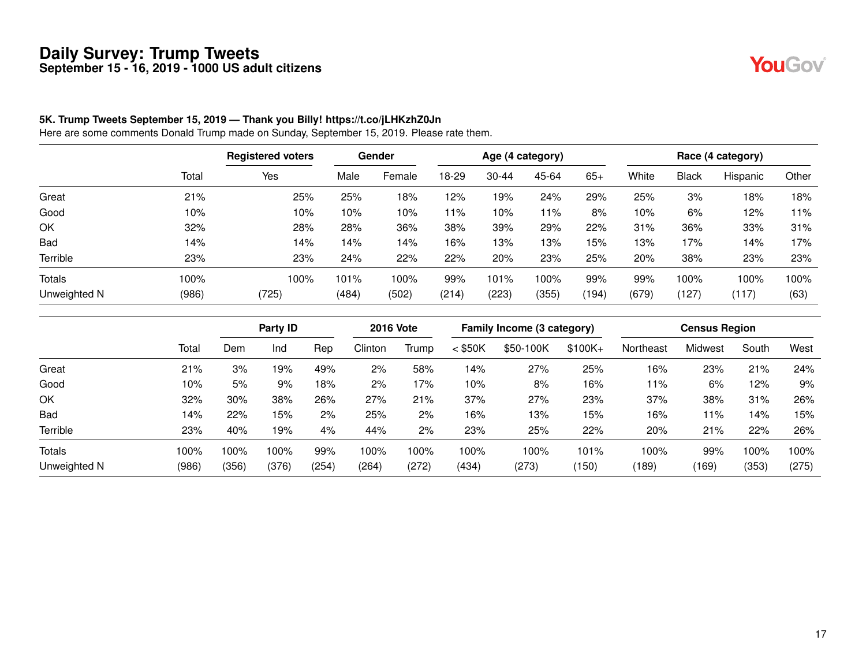YouGov®

#### **5K. Trump Tweets September 15, 2019 — Thank you Billy! https://t.co/jLHKzhZ0Jn**

|              |       | <b>Registered voters</b> | Gender |        | Age (4 category) |           |       |       | Race (4 category) |              |          |       |  |
|--------------|-------|--------------------------|--------|--------|------------------|-----------|-------|-------|-------------------|--------------|----------|-------|--|
|              | Total | Yes                      | Male   | Female | 18-29            | $30 - 44$ | 45-64 | $65+$ | White             | <b>Black</b> | Hispanic | Other |  |
| Great        | 21%   | 25%                      | 25%    | 18%    | 12%              | 19%       | 24%   | 29%   | 25%               | 3%           | 18%      | 18%   |  |
| Good         | 10%   | 10%                      | 10%    | 10%    | 11%              | 10%       | l 1%  | 8%    | 10%               | 6%           | 12%      | 11%   |  |
| OK           | 32%   | 28%                      | 28%    | 36%    | 38%              | 39%       | 29%   | 22%   | 31%               | 36%          | 33%      | 31%   |  |
| <b>Bad</b>   | 14%   | 14%                      | 14%    | 14%    | 16%              | 13%       | 13%   | 15%   | 13%               | 17%          | 14%      | 17%   |  |
| Terrible     | 23%   | 23%                      | 24%    | 22%    | 22%              | 20%       | 23%   | 25%   | 20%               | 38%          | 23%      | 23%   |  |
| Totals       | 100%  | 100%                     | 101%   | 100%   | 99%              | 101%      | 100%  | 99%   | 99%               | 100%         | 100%     | 100%  |  |
| Unweighted N | (986) | (725)                    | (484)  | (502)  | (214)            | (223)     | (355) | (194) | (679)             | (127)        | (117)    | (63)  |  |

|               |       | Party ID |       | <b>2016 Vote</b> |         | Family Income (3 category) |           |           | <b>Census Region</b> |           |         |       |       |
|---------------|-------|----------|-------|------------------|---------|----------------------------|-----------|-----------|----------------------|-----------|---------|-------|-------|
|               | Total | Dem      | Ind   | Rep              | Clinton | Trump                      | $<$ \$50K | \$50-100K | $$100K +$            | Northeast | Midwest | South | West  |
| Great         | 21%   | 3%       | 19%   | 49%              | 2%      | 58%                        | 14%       | 27%       | 25%                  | 16%       | 23%     | 21%   | 24%   |
| Good          | 10%   | 5%       | 9%    | 18%              | 2%      | 17%                        | 10%       | 8%        | 16%                  | 11%       | 6%      | 12%   | 9%    |
| OK            | 32%   | 30%      | 38%   | 26%              | 27%     | 21%                        | 37%       | 27%       | 23%                  | 37%       | 38%     | 31%   | 26%   |
| <b>Bad</b>    | 14%   | 22%      | 15%   | 2%               | 25%     | 2%                         | 16%       | 13%       | 15%                  | 16%       | 11%     | 14%   | 15%   |
| Terrible      | 23%   | 40%      | 19%   | 4%               | 44%     | 2%                         | 23%       | 25%       | 22%                  | 20%       | 21%     | 22%   | 26%   |
| <b>Totals</b> | 100%  | 100%     | 100%  | 99%              | 100%    | 100%                       | 100%      | 100%      | 101%                 | 100%      | 99%     | 100%  | 100%  |
| Unweighted N  | (986) | (356)    | (376) | (254)            | (264)   | (272)                      | (434)     | (273)     | (150)                | (189)     | (169)   | (353) | (275) |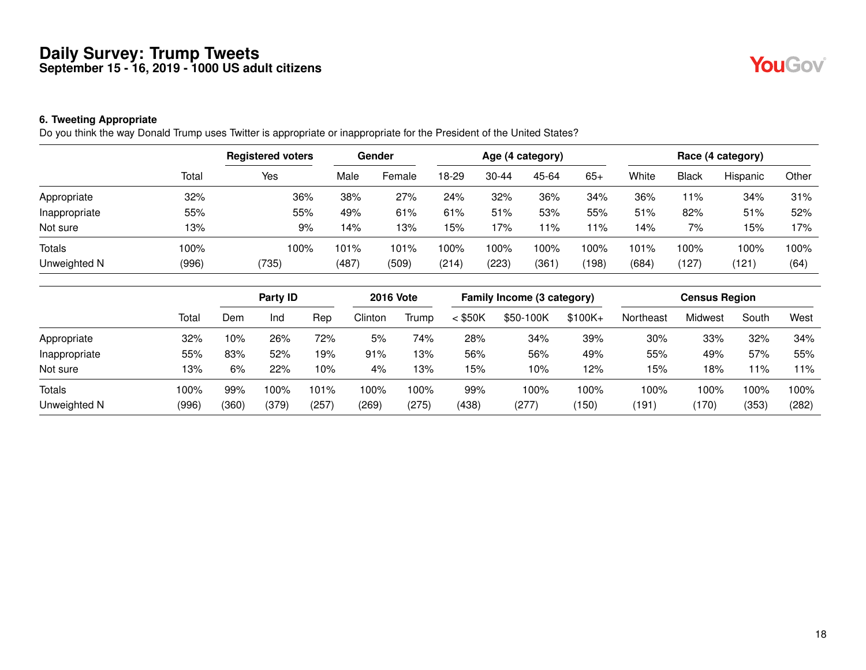#### **6. Tweeting Appropriate**

Do you think the way Donald Trump uses Twitter is appropriate or inappropriate for the President of the United States?

|               |       | <b>Registered voters</b> | Gender |        | Age (4 category) |           |       |       | Race (4 category) |                             |          |       |  |
|---------------|-------|--------------------------|--------|--------|------------------|-----------|-------|-------|-------------------|-----------------------------|----------|-------|--|
|               | Total | Yes                      | Male   | Female | 18-29            | $30 - 44$ | 45-64 | $65+$ | White             | <b>Black</b>                | Hispanic | Other |  |
| Appropriate   | 32%   | 36%                      | 38%    | 27%    | 24%              | 32%       | 36%   | 34%   | 36%               | 11%                         | 34%      | 31%   |  |
| Inappropriate | 55%   | 55%                      | 49%    | 61%    | 61%              | 51%       | 53%   | 55%   | 51%               | 82%                         | 51%      | 52%   |  |
| Not sure      | 13%   | 9%                       | 14%    | 13%    | 15%              | 17%       | 1%    | 11%   | 14%               | 7%                          | 15%      | 17%   |  |
| <b>Totals</b> | 100%  | 100%                     | 101%   | 101%   | 100%             | 100%      | 100%  | 100%  | 101%              | 100%                        | 100%     | 100%  |  |
| Unweighted N  | (996) | (735)                    | (487)  | (509)  | (214)            | (223)     | (361) | (198) | (684)             | $^{\prime}$ 127 $^{\prime}$ | (121)    | (64)  |  |

|               |       | Party ID |       | <b>2016 Vote</b> |         | Family Income (3 category) |           |           | <b>Census Region</b> |           |         |       |       |
|---------------|-------|----------|-------|------------------|---------|----------------------------|-----------|-----------|----------------------|-----------|---------|-------|-------|
|               | Total | Dem      | Ind   | Rep              | Clinton | Trump                      | $<$ \$50K | \$50-100K | $$100K +$            | Northeast | Midwest | South | West  |
| Appropriate   | 32%   | 10%      | 26%   | 72%              | 5%      | 74%                        | 28%       | 34%       | 39%                  | 30%       | 33%     | 32%   | 34%   |
| Inappropriate | 55%   | 83%      | 52%   | 19%              | 91%     | 13%                        | 56%       | 56%       | 49%                  | 55%       | 49%     | 57%   | 55%   |
| Not sure      | 13%   | 6%       | 22%   | 10%              | 4%      | 13%                        | 15%       | 10%       | 12%                  | 15%       | 18%     | 11%   | l 1%  |
| <b>Totals</b> | 100%  | 99%      | 100%  | 101%             | 100%    | 100%                       | 99%       | 100%      | 100%                 | 100%      | 100%    | 100%  | 100%  |
| Unweighted N  | (996) | (360)    | (379) | (257             | (269)   | (275)                      | (438)     | (277)     | (150)                | (191)     | (170)   | (353) | (282) |

**YouGov**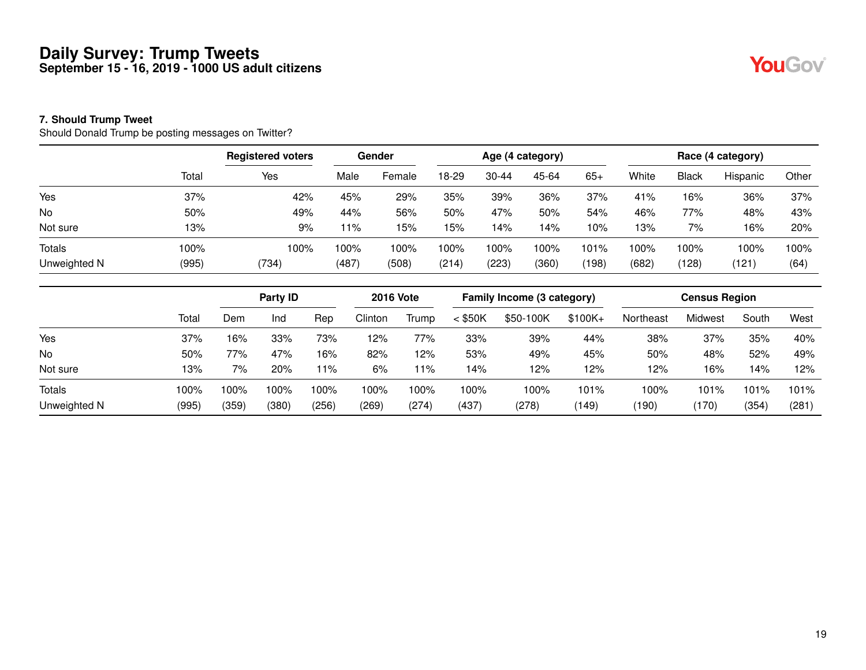#### **7. Should Trump Tweet**

Should Donald Trump be posting messages on Twitter?

|               |       | <b>Registered voters</b> | Gender |        | Age (4 category) |           |       |       | Race (4 category) |              |          |       |  |
|---------------|-------|--------------------------|--------|--------|------------------|-----------|-------|-------|-------------------|--------------|----------|-------|--|
|               | Total | Yes                      | Male   | Female | 18-29            | $30 - 44$ | 45-64 | $65+$ | White             | <b>Black</b> | Hispanic | Other |  |
| Yes           | 37%   | 42%                      | 45%    | 29%    | 35%              | 39%       | 36%   | 37%   | 41%               | 16%          | 36%      | 37%   |  |
| No            | 50%   | 49%                      | 44%    | 56%    | 50%              | 47%       | 50%   | 54%   | 46%               | 77%          | 48%      | 43%   |  |
| Not sure      | 13%   | 9%                       | 11%    | 15%    | 15%              | 14%       | 14%   | 10%   | 13%               | 7%           | 16%      | 20%   |  |
| <b>Totals</b> | 100%  | 100%                     | 100%   | 100%   | 100%             | 100%      | 100%  | 101%  | 100%              | 100%         | 100%     | 100%  |  |
| Unweighted N  | (995) | (734)                    | (487)  | (508)  | (214)            | (223)     | (360) | (198) | (682)             | (128)        | (121)    | (64)  |  |

|               |       | Party ID |       |       | <b>2016 Vote</b> |       |           | Family Income (3 category) |           | <b>Census Region</b> |         |       |       |
|---------------|-------|----------|-------|-------|------------------|-------|-----------|----------------------------|-----------|----------------------|---------|-------|-------|
|               | Total | Dem      | Ind   | Rep   | Clinton          | Trump | $<$ \$50K | \$50-100K                  | $$100K +$ | Northeast            | Midwest | South | West  |
| Yes           | 37%   | 16%      | 33%   | 73%   | 12%              | 77%   | 33%       | 39%                        | 44%       | 38%                  | 37%     | 35%   | 40%   |
| <b>No</b>     | 50%   | 77%      | 47%   | 16%   | 82%              | 12%   | 53%       | 49%                        | 45%       | 50%                  | 48%     | 52%   | 49%   |
| Not sure      | 13%   | 7%       | 20%   | l 1%  | 6%               | 11%   | 14%       | 12%                        | 12%       | 12%                  | 16%     | 14%   | 12%   |
| <b>Totals</b> | 100%  | 100%     | 100%  | 100%  | 100%             | 100%  | 100%      | 100%                       | 101%      | 100%                 | 101%    | 101%  | 101%  |
| Unweighted N  | (995) | (359)    | (380) | (256) | (269)            | (274) | (437)     | (278)                      | ้149)     | (190)                | (170)   | (354) | (281) |

YouGov®